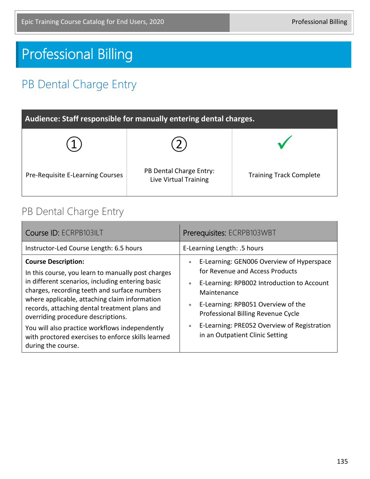# Professional Billing

# PB Dental Charge Entry

| Audience: Staff responsible for manually entering dental charges. |                                                  |                                |
|-------------------------------------------------------------------|--------------------------------------------------|--------------------------------|
|                                                                   |                                                  |                                |
| Pre-Requisite E-Learning Courses                                  | PB Dental Charge Entry:<br>Live Virtual Training | <b>Training Track Complete</b> |

#### PB Dental Charge Entry

| Course ID: ECRPB103ILT                                                                                                                                                                                                                                                                                                       | Prerequisites: ECRPB103WBT                                                                                                                                                                                                                                   |  |
|------------------------------------------------------------------------------------------------------------------------------------------------------------------------------------------------------------------------------------------------------------------------------------------------------------------------------|--------------------------------------------------------------------------------------------------------------------------------------------------------------------------------------------------------------------------------------------------------------|--|
| Instructor-Led Course Length: 6.5 hours                                                                                                                                                                                                                                                                                      | E-Learning Length: .5 hours                                                                                                                                                                                                                                  |  |
| <b>Course Description:</b><br>In this course, you learn to manually post charges<br>in different scenarios, including entering basic<br>charges, recording teeth and surface numbers<br>where applicable, attaching claim information<br>records, attaching dental treatment plans and<br>overriding procedure descriptions. | E-Learning: GEN006 Overview of Hyperspace<br>$\bullet$<br>for Revenue and Access Products<br>E-Learning: RPB002 Introduction to Account<br>$\bullet$<br>Maintenance<br>E-Learning: RPB051 Overview of the<br>$\bullet$<br>Professional Billing Revenue Cycle |  |
| You will also practice workflows independently<br>with proctored exercises to enforce skills learned<br>during the course.                                                                                                                                                                                                   | E-Learning: PRE052 Overview of Registration<br>$\bullet$<br>in an Outpatient Clinic Setting                                                                                                                                                                  |  |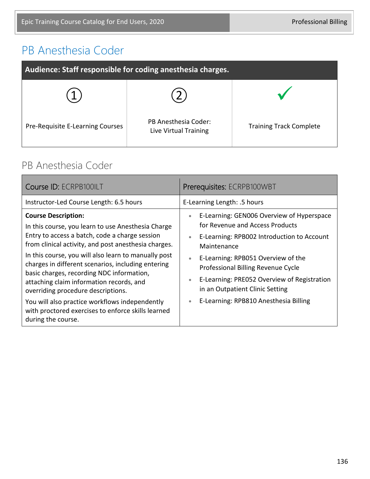## PB Anesthesia Coder

| Audience: Staff responsible for coding anesthesia charges. |                                               |                                |
|------------------------------------------------------------|-----------------------------------------------|--------------------------------|
|                                                            |                                               |                                |
| Pre-Requisite E-Learning Courses                           | PB Anesthesia Coder:<br>Live Virtual Training | <b>Training Track Complete</b> |

#### PB Anesthesia Coder

| Course ID: ECRPB100ILT                                                                                                                                                                                                                                                                                                                                                                                                                                                                                                                                                | Prerequisites: ECRPB100WBT                                                                                                                                                                                                                                                                                                                                                                                        |  |
|-----------------------------------------------------------------------------------------------------------------------------------------------------------------------------------------------------------------------------------------------------------------------------------------------------------------------------------------------------------------------------------------------------------------------------------------------------------------------------------------------------------------------------------------------------------------------|-------------------------------------------------------------------------------------------------------------------------------------------------------------------------------------------------------------------------------------------------------------------------------------------------------------------------------------------------------------------------------------------------------------------|--|
| Instructor-Led Course Length: 6.5 hours                                                                                                                                                                                                                                                                                                                                                                                                                                                                                                                               | E-Learning Length: .5 hours                                                                                                                                                                                                                                                                                                                                                                                       |  |
| <b>Course Description:</b><br>In this course, you learn to use Anesthesia Charge<br>Entry to access a batch, code a charge session<br>from clinical activity, and post anesthesia charges.<br>In this course, you will also learn to manually post<br>charges in different scenarios, including entering<br>basic charges, recording NDC information,<br>attaching claim information records, and<br>overriding procedure descriptions.<br>You will also practice workflows independently<br>with proctored exercises to enforce skills learned<br>during the course. | E-Learning: GEN006 Overview of Hyperspace<br>$\bullet$<br>for Revenue and Access Products<br>E-Learning: RPB002 Introduction to Account<br>$\bullet$<br>Maintenance<br>E-Learning: RPB051 Overview of the<br>$\bullet$<br>Professional Billing Revenue Cycle<br>E-Learning: PRE052 Overview of Registration<br>$\bullet$<br>in an Outpatient Clinic Setting<br>E-Learning: RPB810 Anesthesia Billing<br>$\bullet$ |  |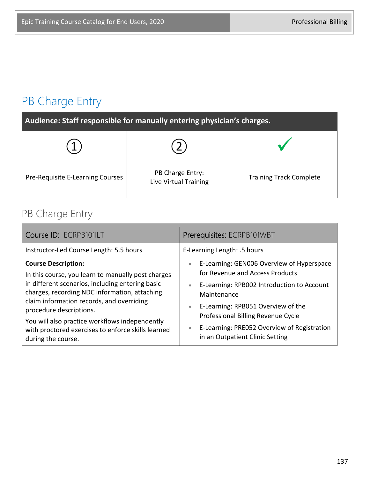# PB Charge Entry

| Audience: Staff responsible for manually entering physician's charges. |                                           |                                |
|------------------------------------------------------------------------|-------------------------------------------|--------------------------------|
|                                                                        |                                           |                                |
| Pre-Requisite E-Learning Courses                                       | PB Charge Entry:<br>Live Virtual Training | <b>Training Track Complete</b> |

#### PB Charge Entry

| Course ID: ECRPB101ILT                                                                                                                                                                                                                                        | Prerequisites: ECRPB101WBT                                                                                                                                                                                             |
|---------------------------------------------------------------------------------------------------------------------------------------------------------------------------------------------------------------------------------------------------------------|------------------------------------------------------------------------------------------------------------------------------------------------------------------------------------------------------------------------|
| Instructor-Led Course Length: 5.5 hours                                                                                                                                                                                                                       | E-Learning Length: .5 hours                                                                                                                                                                                            |
| <b>Course Description:</b><br>In this course, you learn to manually post charges<br>in different scenarios, including entering basic<br>charges, recording NDC information, attaching<br>claim information records, and overriding<br>procedure descriptions. | E-Learning: GEN006 Overview of Hyperspace<br>$\bullet$<br>for Revenue and Access Products<br>E-Learning: RPB002 Introduction to Account<br>$\bullet$<br>Maintenance<br>E-Learning: RPB051 Overview of the<br>$\bullet$ |
| You will also practice workflows independently<br>with proctored exercises to enforce skills learned<br>during the course.                                                                                                                                    | Professional Billing Revenue Cycle<br>E-Learning: PRE052 Overview of Registration<br>$\bullet$<br>in an Outpatient Clinic Setting                                                                                      |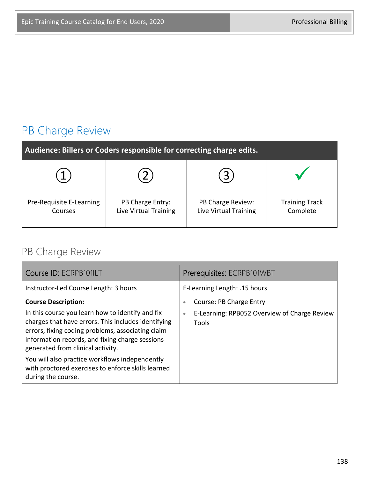# PB Charge Review

| Audience: Billers or Coders responsible for correcting charge edits. |                                           |                                            |                                   |
|----------------------------------------------------------------------|-------------------------------------------|--------------------------------------------|-----------------------------------|
|                                                                      |                                           | $3^{\circ}$                                |                                   |
| Pre-Requisite E-Learning<br>Courses                                  | PB Charge Entry:<br>Live Virtual Training | PB Charge Review:<br>Live Virtual Training | <b>Training Track</b><br>Complete |

## PB Charge Review

| Course ID: ECRPB101ILT                                                                                                                                                                                                                               | Prerequisites: ECRPB101WBT                                         |
|------------------------------------------------------------------------------------------------------------------------------------------------------------------------------------------------------------------------------------------------------|--------------------------------------------------------------------|
| Instructor-Led Course Length: 3 hours                                                                                                                                                                                                                | E-Learning Length: .15 hours                                       |
| <b>Course Description:</b>                                                                                                                                                                                                                           | Course: PB Charge Entry<br>$\bullet$                               |
| In this course you learn how to identify and fix<br>charges that have errors. This includes identifying<br>errors, fixing coding problems, associating claim<br>information records, and fixing charge sessions<br>generated from clinical activity. | E-Learning: RPB052 Overview of Charge Review<br>$\bullet$<br>Tools |
| You will also practice workflows independently<br>with proctored exercises to enforce skills learned<br>during the course.                                                                                                                           |                                                                    |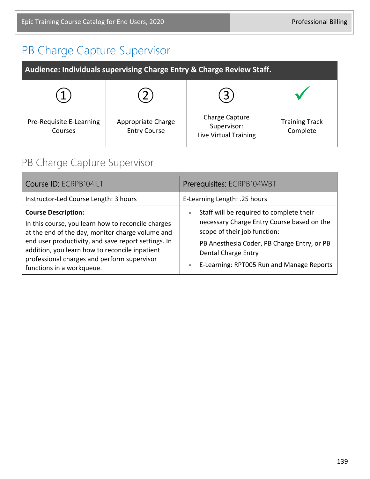## PB Charge Capture Supervisor

| <b>Audience: Individuals supervising Charge Entry &amp; Charge Review Staff.</b> |                                           |                                                        |                                   |
|----------------------------------------------------------------------------------|-------------------------------------------|--------------------------------------------------------|-----------------------------------|
|                                                                                  |                                           |                                                        |                                   |
| Pre-Requisite E-Learning<br>Courses                                              | Appropriate Charge<br><b>Entry Course</b> | Charge Capture<br>Supervisor:<br>Live Virtual Training | <b>Training Track</b><br>Complete |

## PB Charge Capture Supervisor

| Course ID: ECRPB104ILT                                                                                                                                                                                                                                                                                                    | Prerequisites: ECRPB104WBT                                                                                                                                                                                                                                          |
|---------------------------------------------------------------------------------------------------------------------------------------------------------------------------------------------------------------------------------------------------------------------------------------------------------------------------|---------------------------------------------------------------------------------------------------------------------------------------------------------------------------------------------------------------------------------------------------------------------|
| Instructor-Led Course Length: 3 hours                                                                                                                                                                                                                                                                                     | E-Learning Length: .25 hours                                                                                                                                                                                                                                        |
| <b>Course Description:</b><br>In this course, you learn how to reconcile charges<br>at the end of the day, monitor charge volume and<br>end user productivity, and save report settings. In<br>addition, you learn how to reconcile inpatient<br>professional charges and perform supervisor<br>functions in a workqueue. | Staff will be required to complete their<br>$\bullet$<br>necessary Charge Entry Course based on the<br>scope of their job function:<br>PB Anesthesia Coder, PB Charge Entry, or PB<br>Dental Charge Entry<br>E-Learning: RPT005 Run and Manage Reports<br>$\bullet$ |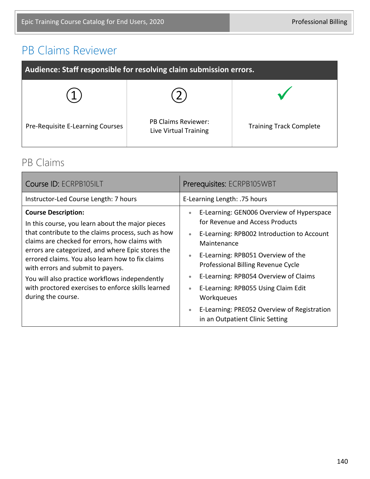# PB Claims Reviewer

| Audience: Staff responsible for resolving claim submission errors. |                                                     |                                |
|--------------------------------------------------------------------|-----------------------------------------------------|--------------------------------|
|                                                                    |                                                     |                                |
| Pre-Requisite E-Learning Courses                                   | <b>PB Claims Reviewer:</b><br>Live Virtual Training | <b>Training Track Complete</b> |

#### PB Claims

| Course ID: ECRPB105ILT                                                                                                                                                                                                                                                                                                                                                                                                                                             | Prerequisites: ECRPB105WBT                                                                                                                                                                                                                                                                                                                                                                                                                                                          |  |
|--------------------------------------------------------------------------------------------------------------------------------------------------------------------------------------------------------------------------------------------------------------------------------------------------------------------------------------------------------------------------------------------------------------------------------------------------------------------|-------------------------------------------------------------------------------------------------------------------------------------------------------------------------------------------------------------------------------------------------------------------------------------------------------------------------------------------------------------------------------------------------------------------------------------------------------------------------------------|--|
| Instructor-Led Course Length: 7 hours                                                                                                                                                                                                                                                                                                                                                                                                                              | E-Learning Length: .75 hours                                                                                                                                                                                                                                                                                                                                                                                                                                                        |  |
| <b>Course Description:</b><br>In this course, you learn about the major pieces<br>that contribute to the claims process, such as how<br>claims are checked for errors, how claims with<br>errors are categorized, and where Epic stores the<br>errored claims. You also learn how to fix claims<br>with errors and submit to payers.<br>You will also practice workflows independently<br>with proctored exercises to enforce skills learned<br>during the course. | E-Learning: GEN006 Overview of Hyperspace<br>$\bullet$<br>for Revenue and Access Products<br>E-Learning: RPB002 Introduction to Account<br>$\bullet$<br>Maintenance<br>E-Learning: RPB051 Overview of the<br>$\bullet$<br>Professional Billing Revenue Cycle<br>E-Learning: RPB054 Overview of Claims<br>$\bullet$<br>E-Learning: RPB055 Using Claim Edit<br>$\bullet$<br>Workqueues<br>E-Learning: PRE052 Overview of Registration<br>$\bullet$<br>in an Outpatient Clinic Setting |  |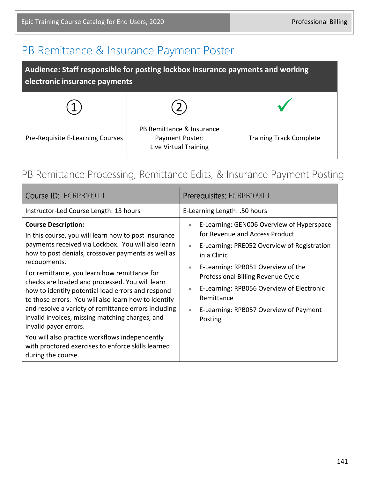## PB Remittance & Insurance Payment Poster

| Audience: Staff responsible for posting lockbox insurance payments and working<br>electronic insurance payments |                                                                       |                                |
|-----------------------------------------------------------------------------------------------------------------|-----------------------------------------------------------------------|--------------------------------|
|                                                                                                                 |                                                                       |                                |
| Pre-Requisite E-Learning Courses                                                                                | PB Remittance & Insurance<br>Payment Poster:<br>Live Virtual Training | <b>Training Track Complete</b> |

#### PB Remittance Processing, Remittance Edits, & Insurance Payment Posting

| Course ID: ECRPB109ILT                                                                                                                                                                                                                                                                                                                                                                                                                                                                                                                                                                                                                                                                           | Prerequisites: ECRPB109ILT                                                                                                                                                                                                                                                                                                                                                                |
|--------------------------------------------------------------------------------------------------------------------------------------------------------------------------------------------------------------------------------------------------------------------------------------------------------------------------------------------------------------------------------------------------------------------------------------------------------------------------------------------------------------------------------------------------------------------------------------------------------------------------------------------------------------------------------------------------|-------------------------------------------------------------------------------------------------------------------------------------------------------------------------------------------------------------------------------------------------------------------------------------------------------------------------------------------------------------------------------------------|
| Instructor-Led Course Length: 13 hours                                                                                                                                                                                                                                                                                                                                                                                                                                                                                                                                                                                                                                                           | E-Learning Length: .50 hours                                                                                                                                                                                                                                                                                                                                                              |
| <b>Course Description:</b><br>In this course, you will learn how to post insurance<br>payments received via Lockbox. You will also learn<br>how to post denials, crossover payments as well as<br>recoupments.<br>For remittance, you learn how remittance for<br>checks are loaded and processed. You will learn<br>how to identify potential load errors and respond<br>to those errors. You will also learn how to identify<br>and resolve a variety of remittance errors including<br>invalid invoices, missing matching charges, and<br>invalid payor errors.<br>You will also practice workflows independently<br>with proctored exercises to enforce skills learned<br>during the course. | E-Learning: GEN006 Overview of Hyperspace<br>$\bullet$<br>for Revenue and Access Product<br>E-Learning: PRE052 Overview of Registration<br>in a Clinic<br>E-Learning: RPB051 Overview of the<br>$\bullet$<br>Professional Billing Revenue Cycle<br>E-Learning: RPB056 Overview of Electronic<br>$\bullet$<br>Remittance<br>E-Learning: RPB057 Overview of Payment<br>$\bullet$<br>Posting |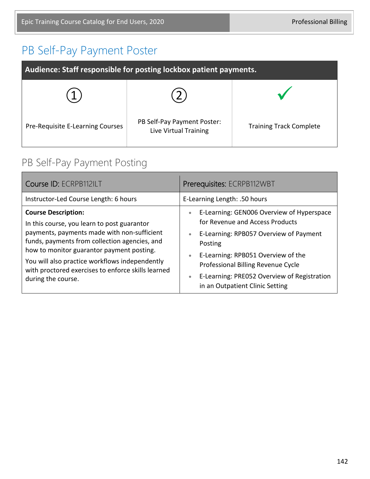# PB Self-Pay Payment Poster

| Audience: Staff responsible for posting lockbox patient payments. |                                                      |                                |
|-------------------------------------------------------------------|------------------------------------------------------|--------------------------------|
|                                                                   |                                                      |                                |
| Pre-Requisite E-Learning Courses                                  | PB Self-Pay Payment Poster:<br>Live Virtual Training | <b>Training Track Complete</b> |

## PB Self-Pay Payment Posting

| Course ID: ECRPB112ILT                                                                                                                                                                                                                                                                                                                               | Prerequisites: ECRPB112WBT                                                                                                                                                                                                                                                                                                                          |
|------------------------------------------------------------------------------------------------------------------------------------------------------------------------------------------------------------------------------------------------------------------------------------------------------------------------------------------------------|-----------------------------------------------------------------------------------------------------------------------------------------------------------------------------------------------------------------------------------------------------------------------------------------------------------------------------------------------------|
| Instructor-Led Course Length: 6 hours                                                                                                                                                                                                                                                                                                                | E-Learning Length: .50 hours                                                                                                                                                                                                                                                                                                                        |
| <b>Course Description:</b><br>In this course, you learn to post guarantor<br>payments, payments made with non-sufficient<br>funds, payments from collection agencies, and<br>how to monitor guarantor payment posting.<br>You will also practice workflows independently<br>with proctored exercises to enforce skills learned<br>during the course. | E-Learning: GEN006 Overview of Hyperspace<br>$\bullet$<br>for Revenue and Access Products<br>E-Learning: RPB057 Overview of Payment<br>$\bullet$<br>Posting<br>E-Learning: RPB051 Overview of the<br>$\bullet$<br>Professional Billing Revenue Cycle<br>E-Learning: PRE052 Overview of Registration<br>$\bullet$<br>in an Outpatient Clinic Setting |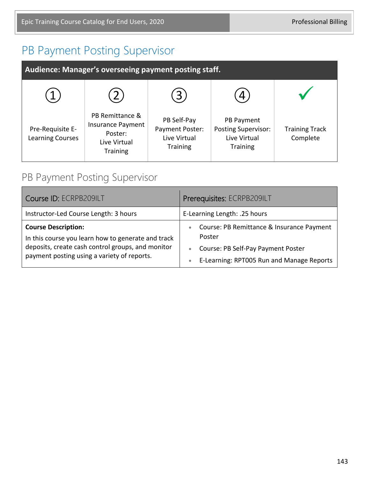## PB Payment Posting Supervisor

| Audience: Manager's overseeing payment posting staff. |                                                                                           |                                                                   |                                                                             |                                   |
|-------------------------------------------------------|-------------------------------------------------------------------------------------------|-------------------------------------------------------------------|-----------------------------------------------------------------------------|-----------------------------------|
|                                                       |                                                                                           | 3                                                                 |                                                                             |                                   |
| Pre-Requisite E-<br><b>Learning Courses</b>           | PB Remittance &<br><b>Insurance Payment</b><br>Poster:<br>Live Virtual<br><b>Training</b> | PB Self-Pay<br>Payment Poster:<br>Live Virtual<br><b>Training</b> | PB Payment<br><b>Posting Supervisor:</b><br>Live Virtual<br><b>Training</b> | <b>Training Track</b><br>Complete |

#### PB Payment Posting Supervisor

| Course ID: ECRPB209ILT                                                                                                                                                               | Prerequisites: ECRPB209ILT                                                                                                                                                    |
|--------------------------------------------------------------------------------------------------------------------------------------------------------------------------------------|-------------------------------------------------------------------------------------------------------------------------------------------------------------------------------|
| Instructor-Led Course Length: 3 hours                                                                                                                                                | E-Learning Length: .25 hours                                                                                                                                                  |
| <b>Course Description:</b><br>In this course you learn how to generate and track<br>deposits, create cash control groups, and monitor<br>payment posting using a variety of reports. | Course: PB Remittance & Insurance Payment<br>$\bullet$<br>Poster<br>Course: PB Self-Pay Payment Poster<br>$\bullet$<br>E-Learning: RPT005 Run and Manage Reports<br>$\bullet$ |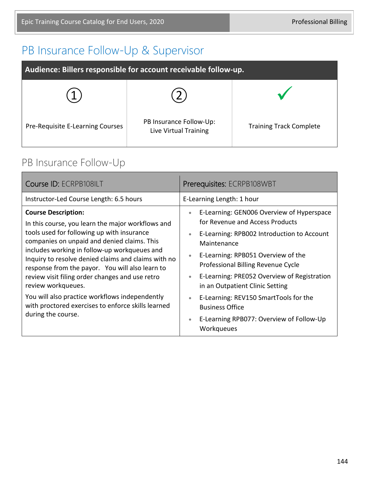# PB Insurance Follow-Up & Supervisor

| Audience: Billers responsible for account receivable follow-up. |                                                  |                                |
|-----------------------------------------------------------------|--------------------------------------------------|--------------------------------|
|                                                                 |                                                  |                                |
| Pre-Requisite E-Learning Courses                                | PB Insurance Follow-Up:<br>Live Virtual Training | <b>Training Track Complete</b> |

## PB Insurance Follow-Up

| Course ID: ECRPB108ILT                                                                                                                                                                                                                                                                                                                                                                                                                                                                                                                        | Prerequisites: ECRPB108WBT                                                                                                                                                                                                                                                                                                                                                                                                                                                                                 |
|-----------------------------------------------------------------------------------------------------------------------------------------------------------------------------------------------------------------------------------------------------------------------------------------------------------------------------------------------------------------------------------------------------------------------------------------------------------------------------------------------------------------------------------------------|------------------------------------------------------------------------------------------------------------------------------------------------------------------------------------------------------------------------------------------------------------------------------------------------------------------------------------------------------------------------------------------------------------------------------------------------------------------------------------------------------------|
| Instructor-Led Course Length: 6.5 hours                                                                                                                                                                                                                                                                                                                                                                                                                                                                                                       | E-Learning Length: 1 hour                                                                                                                                                                                                                                                                                                                                                                                                                                                                                  |
| <b>Course Description:</b><br>In this course, you learn the major workflows and<br>tools used for following up with insurance<br>companies on unpaid and denied claims. This<br>includes working in follow-up workqueues and<br>Inquiry to resolve denied claims and claims with no<br>response from the payor. You will also learn to<br>review visit filing order changes and use retro<br>review workqueues.<br>You will also practice workflows independently<br>with proctored exercises to enforce skills learned<br>during the course. | E-Learning: GEN006 Overview of Hyperspace<br>$\bullet$<br>for Revenue and Access Products<br>E-Learning: RPB002 Introduction to Account<br>$\bullet$<br>Maintenance<br>E-Learning: RPB051 Overview of the<br>$\bullet$<br>Professional Billing Revenue Cycle<br>E-Learning: PRE052 Overview of Registration<br>۰<br>in an Outpatient Clinic Setting<br>E-Learning: REV150 SmartTools for the<br>$\bullet$<br><b>Business Office</b><br>E-Learning RPB077: Overview of Follow-Up<br>$\bullet$<br>Workqueues |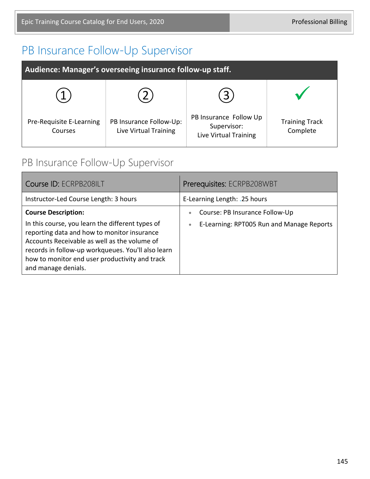# PB Insurance Follow-Up Supervisor

| Audience: Manager's overseeing insurance follow-up staff. |                                                  |                                                                |                                   |
|-----------------------------------------------------------|--------------------------------------------------|----------------------------------------------------------------|-----------------------------------|
|                                                           |                                                  | 3                                                              |                                   |
| Pre-Requisite E-Learning<br>Courses                       | PB Insurance Follow-Up:<br>Live Virtual Training | PB Insurance Follow Up<br>Supervisor:<br>Live Virtual Training | <b>Training Track</b><br>Complete |

## PB Insurance Follow-Up Supervisor

| Course ID: ECRPB208ILT                                                                                                                                                                                                                                                                                       | Prerequisites: ECRPB208WBT                                                                    |
|--------------------------------------------------------------------------------------------------------------------------------------------------------------------------------------------------------------------------------------------------------------------------------------------------------------|-----------------------------------------------------------------------------------------------|
| Instructor-Led Course Length: 3 hours                                                                                                                                                                                                                                                                        | E-Learning Length: .25 hours                                                                  |
| <b>Course Description:</b><br>In this course, you learn the different types of<br>reporting data and how to monitor insurance<br>Accounts Receivable as well as the volume of<br>records in follow-up workqueues. You'll also learn<br>how to monitor end user productivity and track<br>and manage denials. | Course: PB Insurance Follow-Up<br>٠<br>E-Learning: RPT005 Run and Manage Reports<br>$\bullet$ |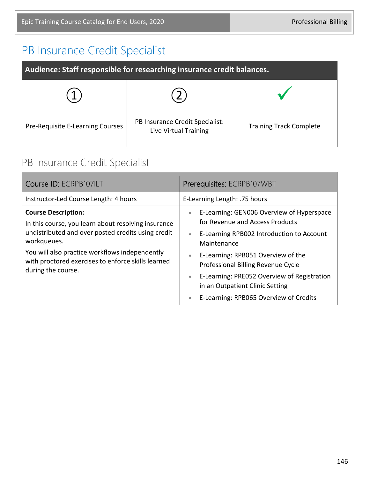# PB Insurance Credit Specialist

| Audience: Staff responsible for researching insurance credit balances. |                                                          |                                |
|------------------------------------------------------------------------|----------------------------------------------------------|--------------------------------|
|                                                                        |                                                          |                                |
| Pre-Requisite E-Learning Courses                                       | PB Insurance Credit Specialist:<br>Live Virtual Training | <b>Training Track Complete</b> |

# PB Insurance Credit Specialist

| Course ID: ECRPB107ILT                                                                                                                                                                                                                                                               | Prerequisites: ECRPB107WBT                                                                                                                                                                                                                                                                                                                                                                                        |
|--------------------------------------------------------------------------------------------------------------------------------------------------------------------------------------------------------------------------------------------------------------------------------------|-------------------------------------------------------------------------------------------------------------------------------------------------------------------------------------------------------------------------------------------------------------------------------------------------------------------------------------------------------------------------------------------------------------------|
| Instructor-Led Course Length: 4 hours                                                                                                                                                                                                                                                | E-Learning Length: .75 hours                                                                                                                                                                                                                                                                                                                                                                                      |
| <b>Course Description:</b><br>In this course, you learn about resolving insurance<br>undistributed and over posted credits using credit<br>workqueues.<br>You will also practice workflows independently<br>with proctored exercises to enforce skills learned<br>during the course. | E-Learning: GEN006 Overview of Hyperspace<br>$\bullet$<br>for Revenue and Access Products<br>E-Learning RPB002 Introduction to Account<br>$\bullet$<br>Maintenance<br>E-Learning: RPB051 Overview of the<br>$\bullet$<br>Professional Billing Revenue Cycle<br>E-Learning: PRE052 Overview of Registration<br>$\bullet$<br>in an Outpatient Clinic Setting<br>E-Learning: RPB065 Overview of Credits<br>$\bullet$ |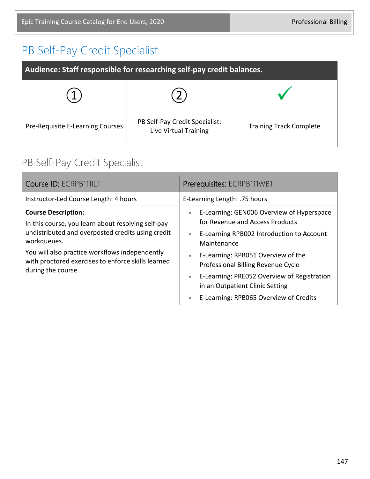# PB Self-Pay Credit Specialist

| Audience: Staff responsible for researching self-pay credit balances. |                                                         |                                |
|-----------------------------------------------------------------------|---------------------------------------------------------|--------------------------------|
|                                                                       |                                                         |                                |
| Pre-Requisite E-Learning Courses                                      | PB Self-Pay Credit Specialist:<br>Live Virtual Training | <b>Training Track Complete</b> |

## PB Self-Pay Credit Specialist

| Course ID: ECRPB111ILT                                                                                                                                                                                                                                                             | Prerequisites: ECRPB111WBT                                                                                                                                                                                                                                                                                                                                                                                        |
|------------------------------------------------------------------------------------------------------------------------------------------------------------------------------------------------------------------------------------------------------------------------------------|-------------------------------------------------------------------------------------------------------------------------------------------------------------------------------------------------------------------------------------------------------------------------------------------------------------------------------------------------------------------------------------------------------------------|
| Instructor-Led Course Length: 4 hours                                                                                                                                                                                                                                              | E-Learning Length: .75 hours                                                                                                                                                                                                                                                                                                                                                                                      |
| <b>Course Description:</b><br>In this course, you learn about resolving self-pay<br>undistributed and overposted credits using credit<br>workqueues.<br>You will also practice workflows independently<br>with proctored exercises to enforce skills learned<br>during the course. | E-Learning: GEN006 Overview of Hyperspace<br>$\bullet$<br>for Revenue and Access Products<br>E-Learning RPB002 Introduction to Account<br>$\bullet$<br>Maintenance<br>E-Learning: RPB051 Overview of the<br>$\bullet$<br>Professional Billing Revenue Cycle<br>E-Learning: PRE052 Overview of Registration<br>$\bullet$<br>in an Outpatient Clinic Setting<br>E-Learning: RPB065 Overview of Credits<br>$\bullet$ |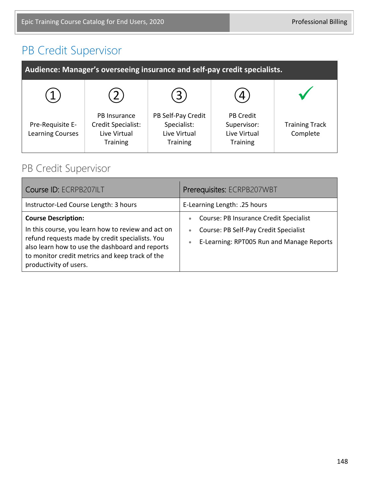# PB Credit Supervisor

| Audience: Manager's overseeing insurance and self-pay credit specialists. |                                                                       |                                                                      |                                                                    |                                   |
|---------------------------------------------------------------------------|-----------------------------------------------------------------------|----------------------------------------------------------------------|--------------------------------------------------------------------|-----------------------------------|
|                                                                           |                                                                       | 3                                                                    | 4                                                                  |                                   |
| Pre-Requisite E-<br><b>Learning Courses</b>                               | PB Insurance<br>Credit Specialist:<br>Live Virtual<br><b>Training</b> | PB Self-Pay Credit<br>Specialist:<br>Live Virtual<br><b>Training</b> | <b>PB Credit</b><br>Supervisor:<br>Live Virtual<br><b>Training</b> | <b>Training Track</b><br>Complete |

#### PB Credit Supervisor

| Course ID: ECRPB207ILT                                                                                                                                                                                                                                              | Prerequisites: ECRPB207WBT                                                                                                                                          |
|---------------------------------------------------------------------------------------------------------------------------------------------------------------------------------------------------------------------------------------------------------------------|---------------------------------------------------------------------------------------------------------------------------------------------------------------------|
| Instructor-Led Course Length: 3 hours                                                                                                                                                                                                                               | E-Learning Length: .25 hours                                                                                                                                        |
| <b>Course Description:</b><br>In this course, you learn how to review and act on<br>refund requests made by credit specialists. You<br>also learn how to use the dashboard and reports<br>to monitor credit metrics and keep track of the<br>productivity of users. | Course: PB Insurance Credit Specialist<br>$\bullet$<br>Course: PB Self-Pay Credit Specialist<br>$\bullet$<br>E-Learning: RPT005 Run and Manage Reports<br>$\bullet$ |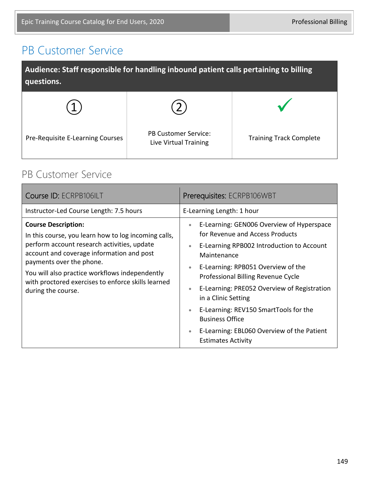## PB Customer Service

| Audience: Staff responsible for handling inbound patient calls pertaining to billing<br>questions. |                                                      |                                |
|----------------------------------------------------------------------------------------------------|------------------------------------------------------|--------------------------------|
|                                                                                                    |                                                      |                                |
| Pre-Requisite E-Learning Courses                                                                   | <b>PB Customer Service:</b><br>Live Virtual Training | <b>Training Track Complete</b> |

#### PB Customer Service

| Instructor-Led Course Length: 7.5 hours<br>E-Learning Length: 1 hour<br>E-Learning: GEN006 Overview of Hyperspace<br><b>Course Description:</b><br>$\bullet$<br>for Revenue and Access Products<br>In this course, you learn how to log incoming calls,<br>perform account research activities, update<br>E-Learning RPB002 Introduction to Account<br>$\bullet$<br>account and coverage information and post<br>Maintenance<br>payments over the phone.<br>E-Learning: RPB051 Overview of the<br>$\bullet$<br>You will also practice workflows independently<br>Professional Billing Revenue Cycle<br>with proctored exercises to enforce skills learned<br>E-Learning: PRE052 Overview of Registration<br>$\bullet$<br>during the course.<br>in a Clinic Setting<br>E-Learning: REV150 SmartTools for the<br>$\bullet$<br><b>Business Office</b><br>E-Learning: EBL060 Overview of the Patient | Course ID: ECRPB106ILT | Prerequisites: ECRPB106WBT |
|--------------------------------------------------------------------------------------------------------------------------------------------------------------------------------------------------------------------------------------------------------------------------------------------------------------------------------------------------------------------------------------------------------------------------------------------------------------------------------------------------------------------------------------------------------------------------------------------------------------------------------------------------------------------------------------------------------------------------------------------------------------------------------------------------------------------------------------------------------------------------------------------------|------------------------|----------------------------|
|                                                                                                                                                                                                                                                                                                                                                                                                                                                                                                                                                                                                                                                                                                                                                                                                                                                                                                  |                        |                            |
| <b>Estimates Activity</b>                                                                                                                                                                                                                                                                                                                                                                                                                                                                                                                                                                                                                                                                                                                                                                                                                                                                        |                        |                            |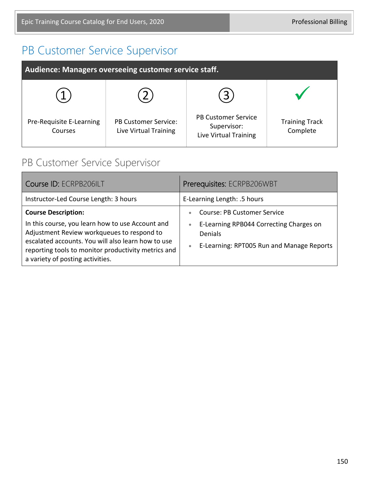# PB Customer Service Supervisor

| Audience: Managers overseeing customer service staff. |                                                      |                                                                    |                                   |
|-------------------------------------------------------|------------------------------------------------------|--------------------------------------------------------------------|-----------------------------------|
|                                                       |                                                      |                                                                    |                                   |
| Pre-Requisite E-Learning<br>Courses                   | <b>PB Customer Service:</b><br>Live Virtual Training | <b>PB Customer Service</b><br>Supervisor:<br>Live Virtual Training | <b>Training Track</b><br>Complete |

## PB Customer Service Supervisor

| Course ID: ECRPB206ILT                                                                                                                                                                                                                                                        | Prerequisites: ECRPB206WBT                                                                                                                                                          |
|-------------------------------------------------------------------------------------------------------------------------------------------------------------------------------------------------------------------------------------------------------------------------------|-------------------------------------------------------------------------------------------------------------------------------------------------------------------------------------|
| Instructor-Led Course Length: 3 hours                                                                                                                                                                                                                                         | E-Learning Length: .5 hours                                                                                                                                                         |
| <b>Course Description:</b><br>In this course, you learn how to use Account and<br>Adjustment Review workqueues to respond to<br>escalated accounts. You will also learn how to use<br>reporting tools to monitor productivity metrics and<br>a variety of posting activities. | <b>Course: PB Customer Service</b><br>$\bullet$<br>E-Learning RPB044 Correcting Charges on<br>$\bullet$<br><b>Denials</b><br>E-Learning: RPT005 Run and Manage Reports<br>$\bullet$ |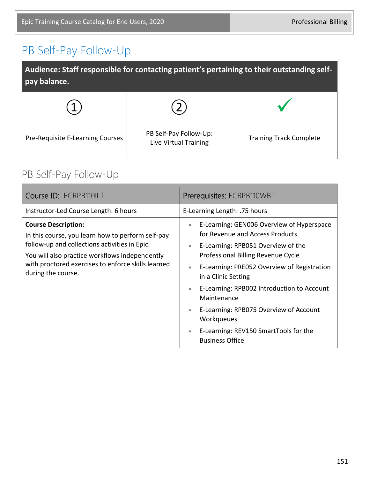# PB Self-Pay Follow-Up

| Audience: Staff responsible for contacting patient's pertaining to their outstanding self-<br>pay balance. |                                                 |                                |
|------------------------------------------------------------------------------------------------------------|-------------------------------------------------|--------------------------------|
|                                                                                                            |                                                 |                                |
| Pre-Requisite E-Learning Courses                                                                           | PB Self-Pay Follow-Up:<br>Live Virtual Training | <b>Training Track Complete</b> |

## PB Self-Pay Follow-Up

| Course ID: ECRPB110ILT                                                                                                                                                                                                                                         | Prerequisites: ECRPB110WBT                                                                                                                                                                                                                                                                                                                                                                                                                                                                           |
|----------------------------------------------------------------------------------------------------------------------------------------------------------------------------------------------------------------------------------------------------------------|------------------------------------------------------------------------------------------------------------------------------------------------------------------------------------------------------------------------------------------------------------------------------------------------------------------------------------------------------------------------------------------------------------------------------------------------------------------------------------------------------|
| Instructor-Led Course Length: 6 hours                                                                                                                                                                                                                          | E-Learning Length: .75 hours                                                                                                                                                                                                                                                                                                                                                                                                                                                                         |
| <b>Course Description:</b><br>In this course, you learn how to perform self-pay<br>follow-up and collections activities in Epic.<br>You will also practice workflows independently<br>with proctored exercises to enforce skills learned<br>during the course. | E-Learning: GEN006 Overview of Hyperspace<br>$\bullet$<br>for Revenue and Access Products<br>E-Learning: RPB051 Overview of the<br>$\bullet$<br>Professional Billing Revenue Cycle<br>E-Learning: PRE052 Overview of Registration<br>$\bullet$<br>in a Clinic Setting<br>E-Learning: RPB002 Introduction to Account<br>$\bullet$<br>Maintenance<br>E-Learning: RPB075 Overview of Account<br>$\bullet$<br>Workqueues<br>E-Learning: REV150 SmartTools for the<br>$\bullet$<br><b>Business Office</b> |